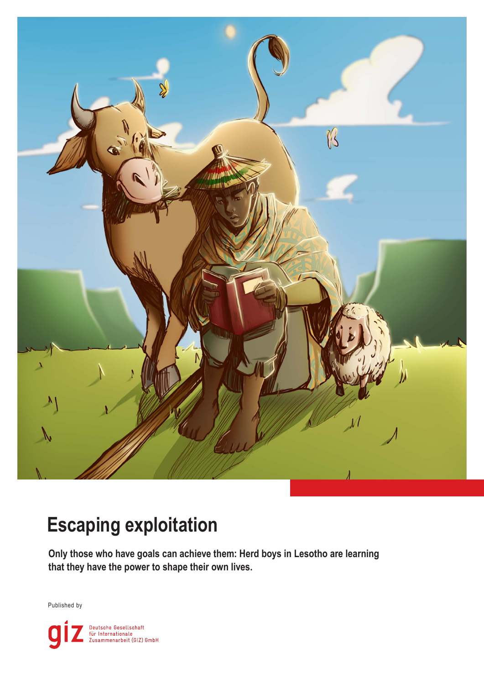

# **Escaping exploitation**

**Only those who have goals can achieve them: Herd boys in Lesotho are learning that they have the power to shape their own lives.**

Published by

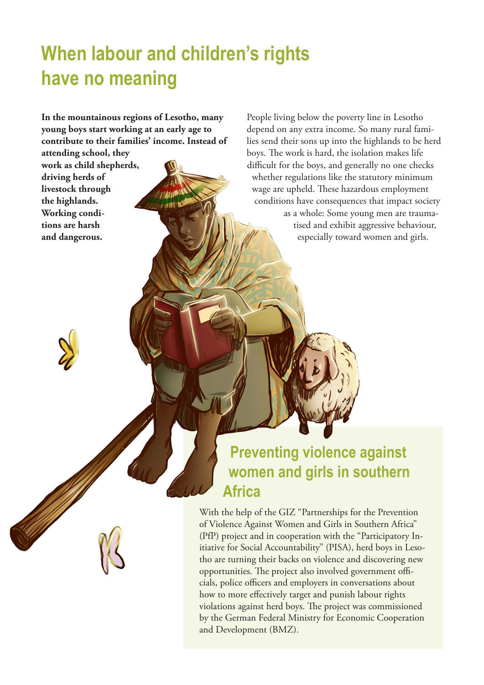# **When labour and children's rights have no meaning**

**In the mountainous regions of Lesotho, many young boys start working at an early age to contribute to their families' income. Instead of** 

**attending school, they work as child shepherds, driving herds of livestock through the highlands. Working conditions are harsh and dangerous.**

People living below the poverty line in Lesotho depend on any extra income. So many rural families send their sons up into the highlands to be herd boys. The work is hard, the isolation makes life difficult for the boys, and generally no one checks whether regulations like the statutory minimum wage are upheld. These hazardous employment conditions have consequences that impact society as a whole: Some young men are traumatised and exhibit aggressive behaviour, especially toward women and girls.

## **Preventing violence against women and girls in southern Africa**

With the help of the GIZ "Partnerships for the Prevention of Violence Against Women and Girls in Southern Africa" (PfP) project and in cooperation with the "Participatory Initiative for Social Accountability" (PISA), herd boys in Lesotho are turning their backs on violence and discovering new opportunities. The project also involved government officials, police officers and employers in conversations about how to more effectively target and punish labour rights violations against herd boys. The project was commissioned by the German Federal Ministry for Economic Cooperation and Development (BMZ).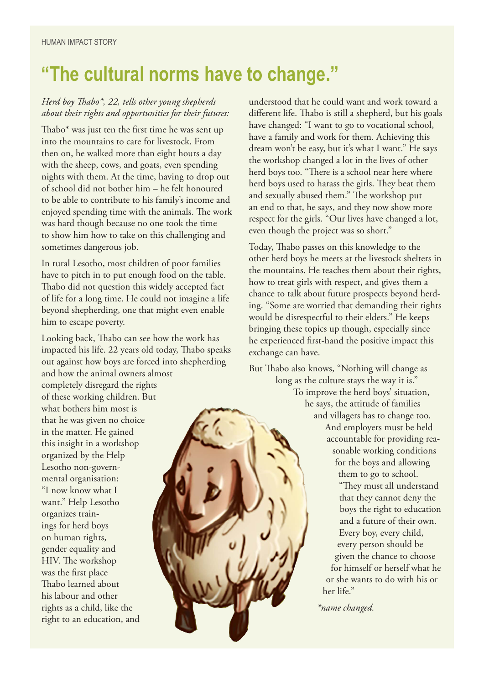# **"The cultural norms have to change."**

#### *Herd boy Thabo\*, 22, tells other young shepherds about their rights and opportunities for their futures:*

Thabo\* was just ten the first time he was sent up into the mountains to care for livestock. From then on, he walked more than eight hours a day with the sheep, cows, and goats, even spending nights with them. At the time, having to drop out of school did not bother him – he felt honoured to be able to contribute to his family's income and enjoyed spending time with the animals. The work was hard though because no one took the time to show him how to take on this challenging and sometimes dangerous job.

In rural Lesotho, most children of poor families have to pitch in to put enough food on the table. Thabo did not question this widely accepted fact of life for a long time. He could not imagine a life beyond shepherding, one that might even enable him to escape poverty.

Looking back, Thabo can see how the work has impacted his life. 22 years old today, Thabo speaks out against how boys are forced into shepherding and how the animal owners almost

completely disregard the rights of these working children. But what bothers him most is that he was given no choice in the matter. He gained this insight in a workshop organized by the Help Lesotho non-governmental organisation: "I now know what I want." Help Lesotho organizes trainings for herd boys on human rights, gender equality and HIV. The workshop was the first place Thabo learned about his labour and other rights as a child, like the right to an education, and

understood that he could want and work toward a different life. Thabo is still a shepherd, but his goals have changed: "I want to go to vocational school, have a family and work for them. Achieving this dream won't be easy, but it's what I want." He says the workshop changed a lot in the lives of other herd boys too. "There is a school near here where herd boys used to harass the girls. They beat them and sexually abused them." The workshop put an end to that, he says, and they now show more respect for the girls. "Our lives have changed a lot, even though the project was so short."

Today, Thabo passes on this knowledge to the other herd boys he meets at the livestock shelters in the mountains. He teaches them about their rights, how to treat girls with respect, and gives them a chance to talk about future prospects beyond herding. "Some are worried that demanding their rights would be disrespectful to their elders." He keeps bringing these topics up though, especially since he experienced first-hand the positive impact this exchange can have.

But Thabo also knows, "Nothing will change as

long as the culture stays the way it is." To improve the herd boys' situation, he says, the attitude of families and villagers has to change too. And employers must be held accountable for providing reasonable working conditions for the boys and allowing them to go to school. "They must all understand that they cannot deny the boys the right to education and a future of their own. Every boy, every child, every person should be given the chance to choose for himself or herself what he or she wants to do with his or her life."

*\*name changed.*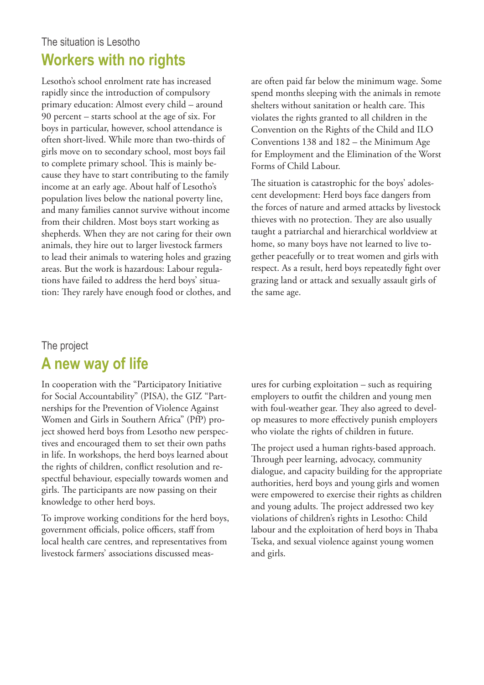#### The situation is Lesotho **Workers with no rights**

Lesotho's school enrolment rate has increased rapidly since the introduction of compulsory primary education: Almost every child – around 90 percent – starts school at the age of six. For boys in particular, however, school attendance is often short-lived. While more than two-thirds of girls move on to secondary school, most boys fail to complete primary school. This is mainly because they have to start contributing to the family income at an early age. About half of Lesotho's population lives below the national poverty line, and many families cannot survive without income from their children. Most boys start working as shepherds. When they are not caring for their own animals, they hire out to larger livestock farmers to lead their animals to watering holes and grazing areas. But the work is hazardous: Labour regulations have failed to address the herd boys' situation: They rarely have enough food or clothes, and are often paid far below the minimum wage. Some spend months sleeping with the animals in remote shelters without sanitation or health care. This violates the rights granted to all children in the Convention on the Rights of the Child and ILO Conventions 138 and 182 – the Minimum Age for Employment and the Elimination of the Worst Forms of Child Labour.

The situation is catastrophic for the boys' adolescent development: Herd boys face dangers from the forces of nature and armed attacks by livestock thieves with no protection. They are also usually taught a patriarchal and hierarchical worldview at home, so many boys have not learned to live together peacefully or to treat women and girls with respect. As a result, herd boys repeatedly fight over grazing land or attack and sexually assault girls of the same age.

#### The project

#### **A new way of life**

In cooperation with the "Participatory Initiative for Social Accountability" (PISA), the GIZ "Partnerships for the Prevention of Violence Against Women and Girls in Southern Africa" (PfP) project showed herd boys from Lesotho new perspectives and encouraged them to set their own paths in life. In workshops, the herd boys learned about the rights of children, conflict resolution and respectful behaviour, especially towards women and girls. The participants are now passing on their knowledge to other herd boys.

To improve working conditions for the herd boys, government officials, police officers, staff from local health care centres, and representatives from livestock farmers' associations discussed meas-

ures for curbing exploitation – such as requiring employers to outfit the children and young men with foul-weather gear. They also agreed to develop measures to more effectively punish employers who violate the rights of children in future.

The project used a human rights-based approach. Through peer learning, advocacy, community dialogue, and capacity building for the appropriate authorities, herd boys and young girls and women were empowered to exercise their rights as children and young adults. The project addressed two key violations of children's rights in Lesotho: Child labour and the exploitation of herd boys in Thaba Tseka, and sexual violence against young women and girls.